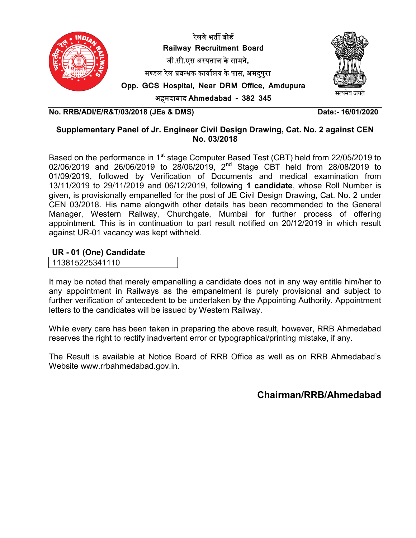



अहमदाबाद Ahmedabad - 382 345

No. RRB/ADI/E/R&T/03/2018 (JEs & DMS) Date:- 16/01/2020

## Supplementary Panel of Jr. Engineer Civil Design Drawing, Cat. No. 2 against CEN No. 03/2018

Based on the performance in 1<sup>st</sup> stage Computer Based Test (CBT) held from 22/05/2019 to 02/06/2019 and 26/06/2019 to 28/06/2019, 2<sup>nd</sup> Stage CBT held from 28/08/2019 to 01/09/2019, followed by Verification of Documents and medical examination from 13/11/2019 to 29/11/2019 and 06/12/2019, following 1 candidate, whose Roll Number is given, is provisionally empanelled for the post of JE Civil Design Drawing, Cat. No. 2 under CEN 03/2018. His name alongwith other details has been recommended to the General Manager, Western Railway, Churchgate, Mumbai for further process of offering appointment. This is in continuation to part result notified on 20/12/2019 in which result against UR-01 vacancy was kept withheld.

UR - 01 (One) Candidate

113815225341110

It may be noted that merely empanelling a candidate does not in any way entitle him/her to any appointment in Railways as the empanelment is purely provisional and subject to further verification of antecedent to be undertaken by the Appointing Authority. Appointment letters to the candidates will be issued by Western Railway.

While every care has been taken in preparing the above result, however, RRB Ahmedabad reserves the right to rectify inadvertent error or typographical/printing mistake, if any.

The Result is available at Notice Board of RRB Office as well as on RRB Ahmedabad's Website www.rrbahmedabad.gov.in.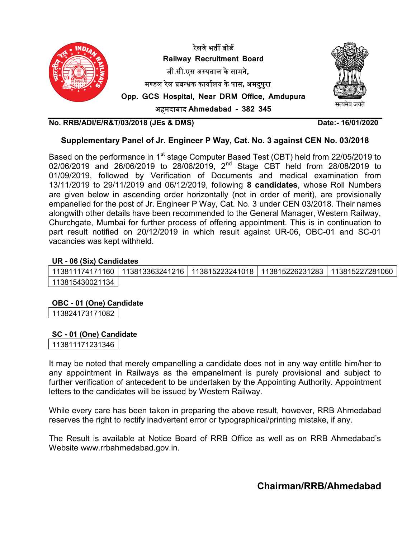

#### Supplementary Panel of Jr. Engineer P Way, Cat. No. 3 against CEN No. 03/2018

Based on the performance in 1<sup>st</sup> stage Computer Based Test (CBT) held from 22/05/2019 to 02/06/2019 and 26/06/2019 to 28/06/2019, 2<sup>nd</sup> Stage CBT held from 28/08/2019 to 01/09/2019, followed by Verification of Documents and medical examination from 13/11/2019 to 29/11/2019 and 06/12/2019, following 8 candidates, whose Roll Numbers are given below in ascending order horizontally (not in order of merit), are provisionally empanelled for the post of Jr. Engineer P Way, Cat. No. 3 under CEN 03/2018. Their names alongwith other details have been recommended to the General Manager, Western Railway, Churchgate, Mumbai for further process of offering appointment. This is in continuation to part result notified on 20/12/2019 in which result against UR-06, OBC-01 and SC-01 vacancies was kept withheld.

#### UR - 06 (Six) Candidates

| ∣ 113811174171160 I          | <sup>∣</sup> 113813363241216 │ | 113815223241018   113815226231283   113815227281060 |  |
|------------------------------|--------------------------------|-----------------------------------------------------|--|
| <sup>⊦</sup> 113815430021134 |                                |                                                     |  |

#### OBC - 01 (One) Candidate

113824173171082

#### SC - 01 (One) Candidate

113811171231346

It may be noted that merely empanelling a candidate does not in any way entitle him/her to any appointment in Railways as the empanelment is purely provisional and subject to further verification of antecedent to be undertaken by the Appointing Authority. Appointment letters to the candidates will be issued by Western Railway.

While every care has been taken in preparing the above result, however, RRB Ahmedabad reserves the right to rectify inadvertent error or typographical/printing mistake, if any.

The Result is available at Notice Board of RRB Office as well as on RRB Ahmedabad's Website www.rrbahmedabad.gov.in.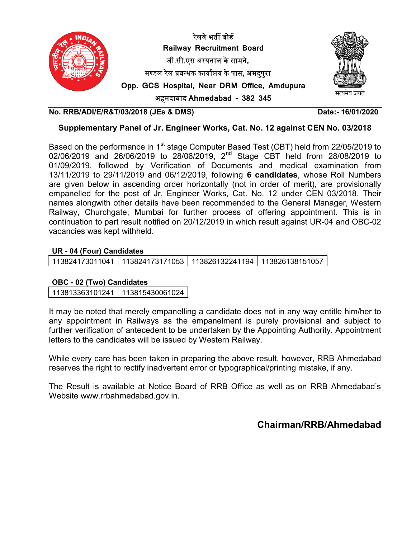

#### Supplementary Panel of Jr. Engineer Works, Cat. No. 12 against CEN No. 03/2018

Based on the performance in 1<sup>st</sup> stage Computer Based Test (CBT) held from 22/05/2019 to 02/06/2019 and 26/06/2019 to 28/06/2019, 2<sup>nd</sup> Stage CBT held from 28/08/2019 to 01/09/2019, followed by Verification of Documents and medical examination from 13/11/2019 to 29/11/2019 and 06/12/2019, following 6 candidates, whose Roll Numbers are given below in ascending order horizontally (not in order of merit), are provisionally empanelled for the post of Jr. Engineer Works, Cat. No. 12 under CEN 03/2018. Their names alongwith other details have been recommended to the General Manager, Western Railway, Churchgate, Mumbai for further process of offering appointment. This is in continuation to part result notified on 20/12/2019 in which result against UR-04 and OBC-02 vacancies was kept withheld.

#### UR - 04 (Four) Candidates

113824173011041 113824173171053 113826132241194 113826138151057

### OBC - 02 (Two) Candidates

113813363101241 113815430061024

It may be noted that merely empanelling a candidate does not in any way entitle him/her to any appointment in Railways as the empanelment is purely provisional and subject to further verification of antecedent to be undertaken by the Appointing Authority. Appointment letters to the candidates will be issued by Western Railway.

While every care has been taken in preparing the above result, however, RRB Ahmedabad reserves the right to rectify inadvertent error or typographical/printing mistake, if any.

The Result is available at Notice Board of RRB Office as well as on RRB Ahmedabad's Website www.rrbahmedabad.gov.in.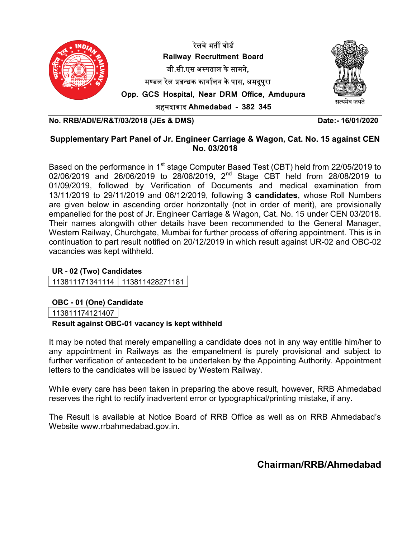

# Supplementary Part Panel of Jr. Engineer Carriage & Wagon, Cat. No. 15 against CEN No. 03/2018

Based on the performance in 1<sup>st</sup> stage Computer Based Test (CBT) held from 22/05/2019 to 02/06/2019 and 26/06/2019 to 28/06/2019, 2<sup>nd</sup> Stage CBT held from 28/08/2019 to 01/09/2019, followed by Verification of Documents and medical examination from 13/11/2019 to 29/11/2019 and 06/12/2019, following 3 candidates, whose Roll Numbers are given below in ascending order horizontally (not in order of merit), are provisionally empanelled for the post of Jr. Engineer Carriage & Wagon, Cat. No. 15 under CEN 03/2018. Their names alongwith other details have been recommended to the General Manager, Western Railway, Churchgate, Mumbai for further process of offering appointment. This is in continuation to part result notified on 20/12/2019 in which result against UR-02 and OBC-02 vacancies was kept withheld.

# UR - 02 (Two) Candidates

113811171341114 113811428271181

# OBC - 01 (One) Candidate

113811174121407

### Result against OBC-01 vacancy is kept withheld

It may be noted that merely empanelling a candidate does not in any way entitle him/her to any appointment in Railways as the empanelment is purely provisional and subject to further verification of antecedent to be undertaken by the Appointing Authority. Appointment letters to the candidates will be issued by Western Railway.

While every care has been taken in preparing the above result, however, RRB Ahmedabad reserves the right to rectify inadvertent error or typographical/printing mistake, if any.

The Result is available at Notice Board of RRB Office as well as on RRB Ahmedabad's Website www.rrbahmedabad.gov.in.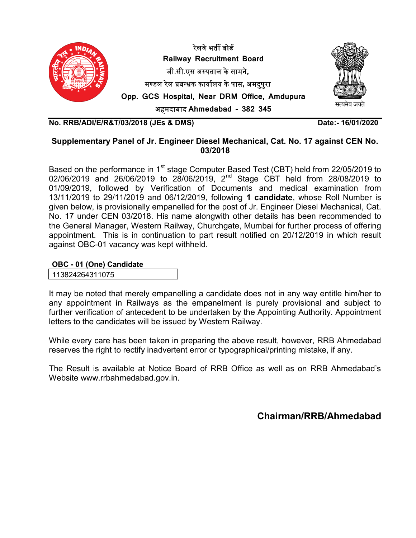

### Supplementary Panel of Jr. Engineer Diesel Mechanical, Cat. No. 17 against CEN No. 03/2018

Based on the performance in 1<sup>st</sup> stage Computer Based Test (CBT) held from 22/05/2019 to 02/06/2019 and 26/06/2019 to 28/06/2019, 2<sup>nd</sup> Stage CBT held from 28/08/2019 to 01/09/2019, followed by Verification of Documents and medical examination from 13/11/2019 to 29/11/2019 and 06/12/2019, following 1 candidate, whose Roll Number is given below, is provisionally empanelled for the post of Jr. Engineer Diesel Mechanical, Cat. No. 17 under CEN 03/2018. His name alongwith other details has been recommended to the General Manager, Western Railway, Churchgate, Mumbai for further process of offering appointment. This is in continuation to part result notified on 20/12/2019 in which result against OBC-01 vacancy was kept withheld.

#### OBC - 01 (One) Candidate

113824264311075

It may be noted that merely empanelling a candidate does not in any way entitle him/her to any appointment in Railways as the empanelment is purely provisional and subject to further verification of antecedent to be undertaken by the Appointing Authority. Appointment letters to the candidates will be issued by Western Railway.

While every care has been taken in preparing the above result, however, RRB Ahmedabad reserves the right to rectify inadvertent error or typographical/printing mistake, if any.

The Result is available at Notice Board of RRB Office as well as on RRB Ahmedabad's Website www.rrbahmedabad.gov.in.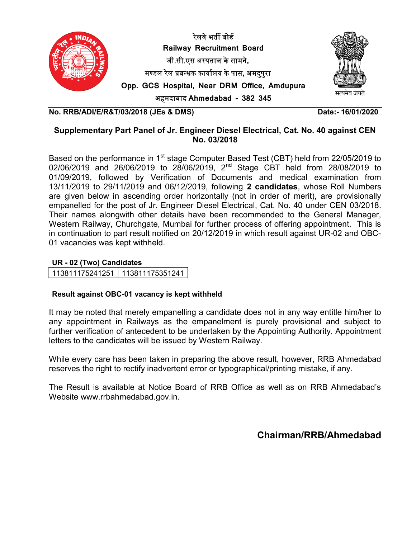



अहमदाबाद Ahmedabad - 382 345

No. RRB/ADI/E/R&T/03/2018 (JEs & DMS) Date:- 16/01/2020

# Supplementary Part Panel of Jr. Engineer Diesel Electrical, Cat. No. 40 against CEN No. 03/2018

Based on the performance in 1<sup>st</sup> stage Computer Based Test (CBT) held from 22/05/2019 to 02/06/2019 and 26/06/2019 to 28/06/2019,  $2^{nd}$  Stage CBT held from 28/08/2019 to 01/09/2019, followed by Verification of Documents and medical examination from 13/11/2019 to 29/11/2019 and 06/12/2019, following 2 candidates, whose Roll Numbers are given below in ascending order horizontally (not in order of merit), are provisionally empanelled for the post of Jr. Engineer Diesel Electrical, Cat. No. 40 under CEN 03/2018. Their names alongwith other details have been recommended to the General Manager, Western Railway, Churchgate, Mumbai for further process of offering appointment. This is in continuation to part result notified on 20/12/2019 in which result against UR-02 and OBC-01 vacancies was kept withheld.

#### UR - 02 (Two) Candidates

| 113811175241251   113811175351241 |
|-----------------------------------|
|-----------------------------------|

### Result against OBC-01 vacancy is kept withheld

It may be noted that merely empanelling a candidate does not in any way entitle him/her to any appointment in Railways as the empanelment is purely provisional and subject to further verification of antecedent to be undertaken by the Appointing Authority. Appointment letters to the candidates will be issued by Western Railway.

While every care has been taken in preparing the above result, however, RRB Ahmedabad reserves the right to rectify inadvertent error or typographical/printing mistake, if any.

The Result is available at Notice Board of RRB Office as well as on RRB Ahmedabad's Website www.rrbahmedabad.gov.in.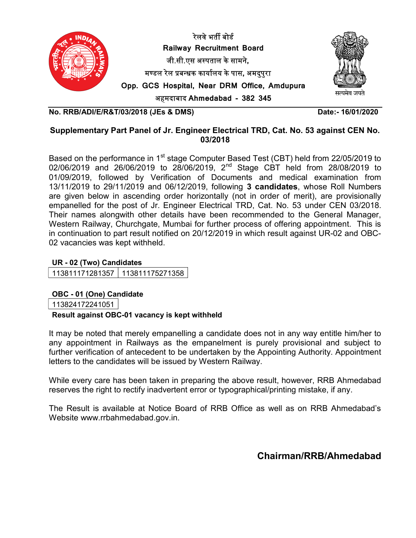



अहमदाबाद Ahmedabad - 382 345

No. RRB/ADI/E/R&T/03/2018 (JEs & DMS) Date:- 16/01/2020

# Supplementary Part Panel of Jr. Engineer Electrical TRD, Cat. No. 53 against CEN No. 03/2018

Based on the performance in 1<sup>st</sup> stage Computer Based Test (CBT) held from 22/05/2019 to 02/06/2019 and 26/06/2019 to 28/06/2019,  $2^{nd}$  Stage CBT held from 28/08/2019 to 01/09/2019, followed by Verification of Documents and medical examination from 13/11/2019 to 29/11/2019 and 06/12/2019, following 3 candidates, whose Roll Numbers are given below in ascending order horizontally (not in order of merit), are provisionally empanelled for the post of Jr. Engineer Electrical TRD, Cat. No. 53 under CEN 03/2018. Their names alongwith other details have been recommended to the General Manager, Western Railway, Churchgate, Mumbai for further process of offering appointment. This is in continuation to part result notified on 20/12/2019 in which result against UR-02 and OBC-02 vacancies was kept withheld.

### UR - 02 (Two) Candidates

113811171281357 113811175271358

### OBC - 01 (One) Candidate

113824172241051

### Result against OBC-01 vacancy is kept withheld

It may be noted that merely empanelling a candidate does not in any way entitle him/her to any appointment in Railways as the empanelment is purely provisional and subject to further verification of antecedent to be undertaken by the Appointing Authority. Appointment letters to the candidates will be issued by Western Railway.

While every care has been taken in preparing the above result, however, RRB Ahmedabad reserves the right to rectify inadvertent error or typographical/printing mistake, if any.

The Result is available at Notice Board of RRB Office as well as on RRB Ahmedabad's Website www.rrbahmedabad.gov.in.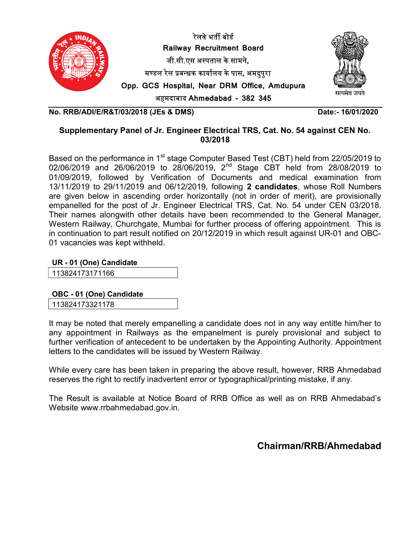



अहमदाबाद Ahmedabad - 382 345

No. RRB/ADI/E/R&T/03/2018 (JEs & DMS) Date:- 16/01/2020

# Supplementary Panel of Jr. Engineer Electrical TRS, Cat. No. 54 against CEN No. 03/2018

Based on the performance in 1<sup>st</sup> stage Computer Based Test (CBT) held from 22/05/2019 to 02/06/2019 and 26/06/2019 to 28/06/2019,  $2^{nd}$  Stage CBT held from 28/08/2019 to 01/09/2019, followed by Verification of Documents and medical examination from 13/11/2019 to 29/11/2019 and 06/12/2019, following 2 candidates, whose Roll Numbers are given below in ascending order horizontally (not in order of merit), are provisionally empanelled for the post of Jr. Engineer Electrical TRS, Cat. No. 54 under CEN 03/2018. Their names alongwith other details have been recommended to the General Manager, Western Railway, Churchgate, Mumbai for further process of offering appointment. This is in continuation to part result notified on 20/12/2019 in which result against UR-01 and OBC-01 vacancies was kept withheld.

### UR - 01 (One) Candidate

113824173171166

OBC - 01 (One) Candidate

113824173321178

It may be noted that merely empanelling a candidate does not in any way entitle him/her to any appointment in Railways as the empanelment is purely provisional and subject to further verification of antecedent to be undertaken by the Appointing Authority. Appointment letters to the candidates will be issued by Western Railway.

While every care has been taken in preparing the above result, however, RRB Ahmedabad reserves the right to rectify inadvertent error or typographical/printing mistake, if any.

The Result is available at Notice Board of RRB Office as well as on RRB Ahmedabad's Website www.rrbahmedabad.gov.in.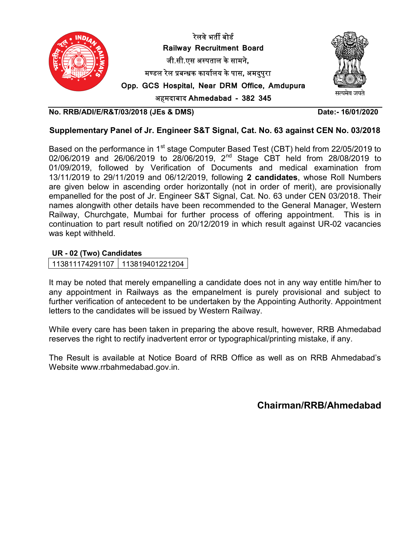

## Supplementary Panel of Jr. Engineer S&T Signal, Cat. No. 63 against CEN No. 03/2018

Based on the performance in 1<sup>st</sup> stage Computer Based Test (CBT) held from 22/05/2019 to 02/06/2019 and 26/06/2019 to 28/06/2019, 2nd Stage CBT held from 28/08/2019 to 01/09/2019, followed by Verification of Documents and medical examination from 13/11/2019 to 29/11/2019 and 06/12/2019, following 2 candidates, whose Roll Numbers are given below in ascending order horizontally (not in order of merit), are provisionally empanelled for the post of Jr. Engineer S&T Signal, Cat. No. 63 under CEN 03/2018. Their names alongwith other details have been recommended to the General Manager, Western Railway, Churchgate, Mumbai for further process of offering appointment. This is in continuation to part result notified on 20/12/2019 in which result against UR-02 vacancies was kept withheld.

### UR - 02 (Two) Candidates

113811174291107 113819401221204

It may be noted that merely empanelling a candidate does not in any way entitle him/her to any appointment in Railways as the empanelment is purely provisional and subject to further verification of antecedent to be undertaken by the Appointing Authority. Appointment letters to the candidates will be issued by Western Railway.

While every care has been taken in preparing the above result, however, RRB Ahmedabad reserves the right to rectify inadvertent error or typographical/printing mistake, if any.

The Result is available at Notice Board of RRB Office as well as on RRB Ahmedabad's Website www.rrbahmedabad.gov.in.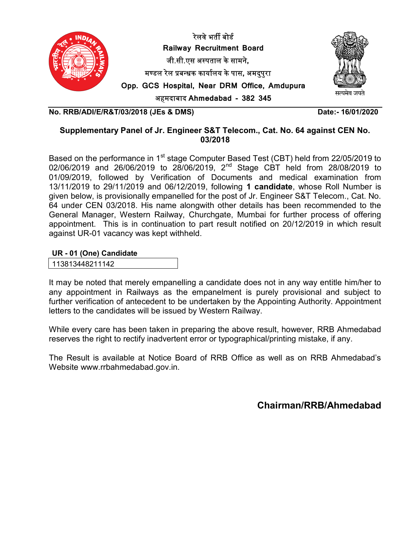



अहमदाबाद Ahmedabad - 382 345

No. RRB/ADI/E/R&T/03/2018 (JEs & DMS) Date:- 16/01/2020

# Supplementary Panel of Jr. Engineer S&T Telecom., Cat. No. 64 against CEN No. 03/2018

Based on the performance in 1<sup>st</sup> stage Computer Based Test (CBT) held from 22/05/2019 to 02/06/2019 and 26/06/2019 to 28/06/2019,  $2^{nd}$  Stage CBT held from 28/08/2019 to 01/09/2019, followed by Verification of Documents and medical examination from 13/11/2019 to 29/11/2019 and 06/12/2019, following 1 candidate, whose Roll Number is given below, is provisionally empanelled for the post of Jr. Engineer S&T Telecom., Cat. No. 64 under CEN 03/2018. His name alongwith other details has been recommended to the General Manager, Western Railway, Churchgate, Mumbai for further process of offering appointment. This is in continuation to part result notified on 20/12/2019 in which result against UR-01 vacancy was kept withheld.

UR - 01 (One) Candidate

113813448211142

It may be noted that merely empanelling a candidate does not in any way entitle him/her to any appointment in Railways as the empanelment is purely provisional and subject to further verification of antecedent to be undertaken by the Appointing Authority. Appointment letters to the candidates will be issued by Western Railway.

While every care has been taken in preparing the above result, however, RRB Ahmedabad reserves the right to rectify inadvertent error or typographical/printing mistake, if any.

The Result is available at Notice Board of RRB Office as well as on RRB Ahmedabad's Website www.rrbahmedabad.gov.in.